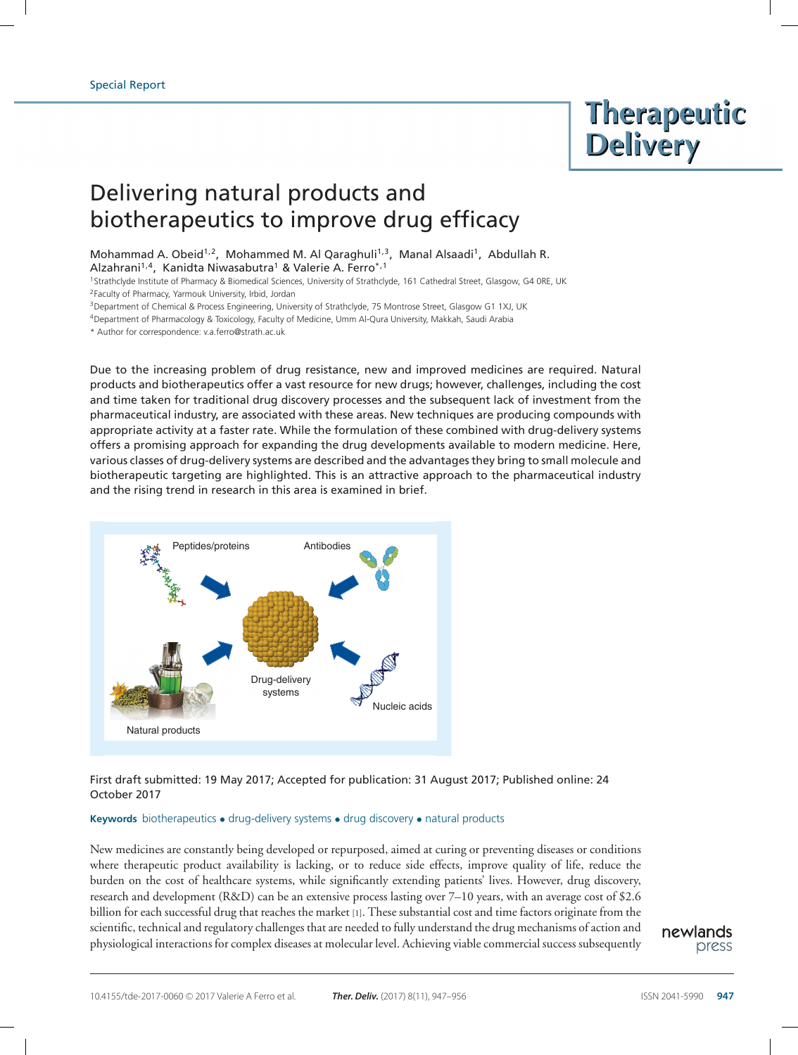# **Therapeutic Delivery**

# Delivering natural products and biotherapeutics to improve drug efficacy

Mohammad A. Obeid<sup>1,2</sup>, Mohammed M. Al Qaraghuli<sup>1,3</sup>, Manal Alsaadi<sup>1</sup>, Abdullah R. Alzahrani<sup>1,4</sup>, Kanidta Niwasabutra<sup>1</sup> & Valerie A. Ferro<sup>\*,1</sup>

1Strathclyde Institute of Pharmacy & Biomedical Sciences, University of Strathclyde, 161 Cathedral Street, Glasgow, G4 0RE, UK 2Faculty of Pharmacy, Yarmouk University, Irbid, Jordan

3Department of Chemical & Process Engineering, University of Strathclyde, 75 Montrose Street, Glasgow G1 1XJ, UK

4Department of Pharmacology & Toxicology, Faculty of Medicine, Umm Al-Qura University, Makkah, Saudi Arabia

\* Author for correspondence: v.a.ferro@strath.ac.uk

Due to the increasing problem of drug resistance, new and improved medicines are required. Natural products and biotherapeutics offer a vast resource for new drugs; however, challenges, including the cost and time taken for traditional drug discovery processes and the subsequent lack of investment from the pharmaceutical industry, are associated with these areas. New techniques are producing compounds with appropriate activity at a faster rate. While the formulation of these combined with drug-delivery systems offers a promising approach for expanding the drug developments available to modern medicine. Here, various classes of drug-delivery systems are described and the advantages they bring to small molecule and biotherapeutic targeting are highlighted. This is an attractive approach to the pharmaceutical industry and the rising trend in research in this area is examined in brief.



# First draft submitted: 19 May 2017; Accepted for publication: 31 August 2017; Published online: 24 October 2017

#### **Keywords** biotherapeutics • drug-delivery systems • drug discovery • natural products

New medicines are constantly being developed or repurposed, aimed at curing or preventing diseases or conditions where therapeutic product availability is lacking, or to reduce side effects, improve quality of life, reduce the burden on the cost of healthcare systems, while significantly extending patients' lives. However, drug discovery, research and development (R&D) can be an extensive process lasting over 7–10 years, with an average cost of \$2.6 billion for each successful drug that reaches the market [1]. These substantial cost and time factors originate from the scientific, technical and regulatory challenges that are needed to fully understand the drug mechanisms of action and physiological interactions for complex diseases at molecular level. Achieving viable commercial success subsequently

newlands press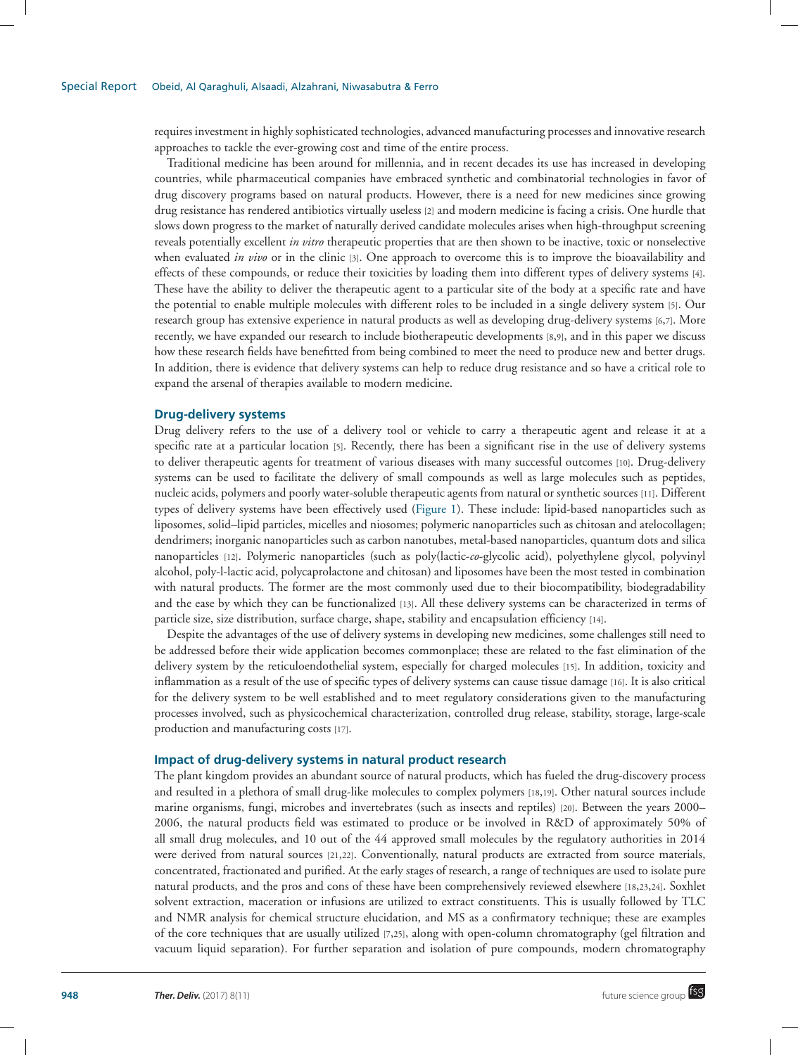requires investment in highly sophisticated technologies, advanced manufacturing processes and innovative research approaches to tackle the ever-growing cost and time of the entire process.

Traditional medicine has been around for millennia, and in recent decades its use has increased in developing countries, while pharmaceutical companies have embraced synthetic and combinatorial technologies in favor of drug discovery programs based on natural products. However, there is a need for new medicines since growing drug resistance has rendered antibiotics virtually useless [2] and modern medicine is facing a crisis. One hurdle that slows down progress to the market of naturally derived candidate molecules arises when high-throughput screening reveals potentially excellent *in vitro* therapeutic properties that are then shown to be inactive, toxic or nonselective when evaluated *in vivo* or in the clinic [3]. One approach to overcome this is to improve the bioavailability and effects of these compounds, or reduce their toxicities by loading them into different types of delivery systems [4]. These have the ability to deliver the therapeutic agent to a particular site of the body at a specific rate and have the potential to enable multiple molecules with different roles to be included in a single delivery system [5]. Our research group has extensive experience in natural products as well as developing drug-delivery systems [6,7]. More recently, we have expanded our research to include biotherapeutic developments [8,9], and in this paper we discuss how these research fields have benefitted from being combined to meet the need to produce new and better drugs. In addition, there is evidence that delivery systems can help to reduce drug resistance and so have a critical role to expand the arsenal of therapies available to modern medicine.

# **Drug-delivery systems**

Drug delivery refers to the use of a delivery tool or vehicle to carry a therapeutic agent and release it at a specific rate at a particular location [5]. Recently, there has been a significant rise in the use of delivery systems to deliver therapeutic agents for treatment of various diseases with many successful outcomes [10]. Drug-delivery systems can be used to facilitate the delivery of small compounds as well as large molecules such as peptides, nucleic acids, polymers and poorly water-soluble therapeutic agents from natural or synthetic sources [11]. Different types of delivery systems have been effectively used (Figure 1). These include: lipid-based nanoparticles such as liposomes, solid–lipid particles, micelles and niosomes; polymeric nanoparticles such as chitosan and atelocollagen; dendrimers; inorganic nanoparticles such as carbon nanotubes, metal-based nanoparticles, quantum dots and silica nanoparticles [12]. Polymeric nanoparticles (such as poly(lactic-*co*-glycolic acid), polyethylene glycol, polyvinyl alcohol, poly-l-lactic acid, polycaprolactone and chitosan) and liposomes have been the most tested in combination with natural products. The former are the most commonly used due to their biocompatibility, biodegradability and the ease by which they can be functionalized [13]. All these delivery systems can be characterized in terms of particle size, size distribution, surface charge, shape, stability and encapsulation efficiency [14].

Despite the advantages of the use of delivery systems in developing new medicines, some challenges still need to be addressed before their wide application becomes commonplace; these are related to the fast elimination of the delivery system by the reticuloendothelial system, especially for charged molecules [15]. In addition, toxicity and inflammation as a result of the use of specific types of delivery systems can cause tissue damage [16]. It is also critical for the delivery system to be well established and to meet regulatory considerations given to the manufacturing processes involved, such as physicochemical characterization, controlled drug release, stability, storage, large-scale production and manufacturing costs [17].

### **Impact of drug-delivery systems in natural product research**

The plant kingdom provides an abundant source of natural products, which has fueled the drug-discovery process and resulted in a plethora of small drug-like molecules to complex polymers [18,19]. Other natural sources include marine organisms, fungi, microbes and invertebrates (such as insects and reptiles) [20]. Between the years 2000– 2006, the natural products field was estimated to produce or be involved in R&D of approximately 50% of all small drug molecules, and 10 out of the 44 approved small molecules by the regulatory authorities in 2014 were derived from natural sources [21,22]. Conventionally, natural products are extracted from source materials, concentrated, fractionated and purified. At the early stages of research, a range of techniques are used to isolate pure natural products, and the pros and cons of these have been comprehensively reviewed elsewhere [18,23,24]. Soxhlet solvent extraction, maceration or infusions are utilized to extract constituents. This is usually followed by TLC and NMR analysis for chemical structure elucidation, and MS as a confirmatory technique; these are examples of the core techniques that are usually utilized [7,25], along with open-column chromatography (gel filtration and vacuum liquid separation). For further separation and isolation of pure compounds, modern chromatography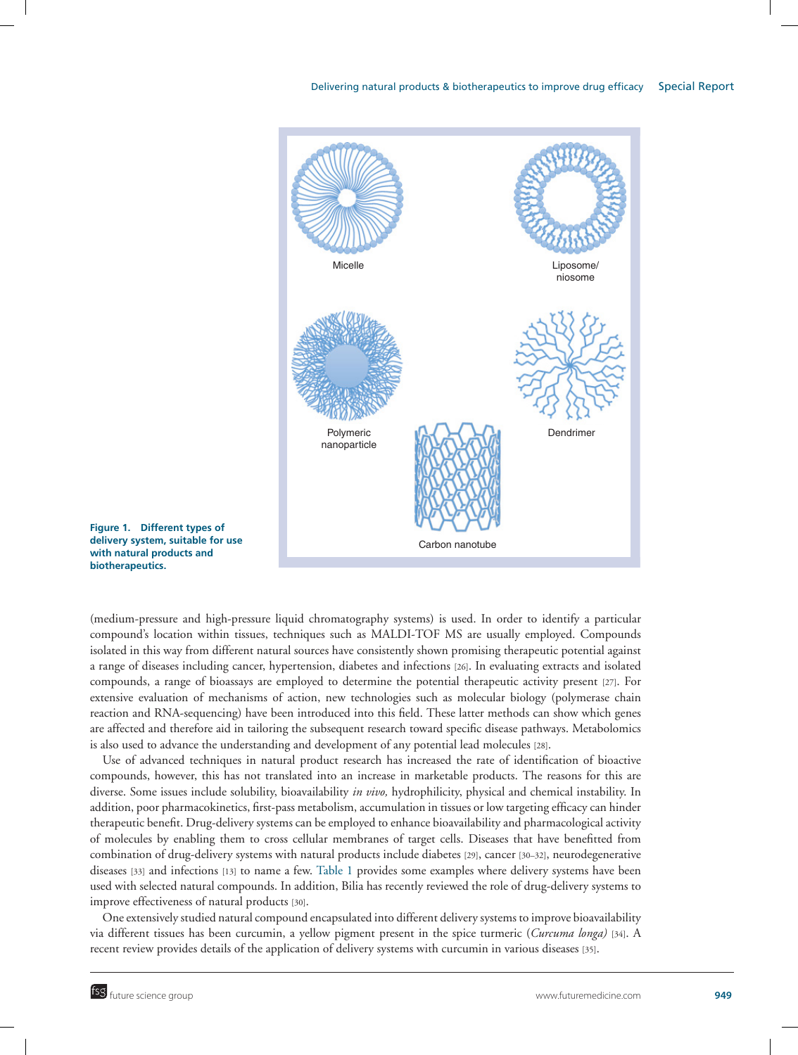# Delivering natural products & biotherapeutics to improve drug efficacy Special Report





(medium-pressure and high-pressure liquid chromatography systems) is used. In order to identify a particular compound's location within tissues, techniques such as MALDI-TOF MS are usually employed. Compounds isolated in this way from different natural sources have consistently shown promising therapeutic potential against a range of diseases including cancer, hypertension, diabetes and infections [26]. In evaluating extracts and isolated compounds, a range of bioassays are employed to determine the potential therapeutic activity present [27]. For extensive evaluation of mechanisms of action, new technologies such as molecular biology (polymerase chain reaction and RNA-sequencing) have been introduced into this field. These latter methods can show which genes are affected and therefore aid in tailoring the subsequent research toward specific disease pathways. Metabolomics is also used to advance the understanding and development of any potential lead molecules [28].

Use of advanced techniques in natural product research has increased the rate of identification of bioactive compounds, however, this has not translated into an increase in marketable products. The reasons for this are diverse. Some issues include solubility, bioavailability *in vivo,* hydrophilicity, physical and chemical instability. In addition, poor pharmacokinetics, first-pass metabolism, accumulation in tissues or low targeting efficacy can hinder therapeutic benefit. Drug-delivery systems can be employed to enhance bioavailability and pharmacological activity of molecules by enabling them to cross cellular membranes of target cells. Diseases that have benefitted from combination of drug-delivery systems with natural products include diabetes [29], cancer [30–32], neurodegenerative diseases [33] and infections [13] to name a few. Table 1 provides some examples where delivery systems have been used with selected natural compounds. In addition, Bilia has recently reviewed the role of drug-delivery systems to improve effectiveness of natural products [30].

One extensively studied natural compound encapsulated into different delivery systems to improve bioavailability via different tissues has been curcumin, a yellow pigment present in the spice turmeric (*Curcuma longa)* [34]. A recent review provides details of the application of delivery systems with curcumin in various diseases [35].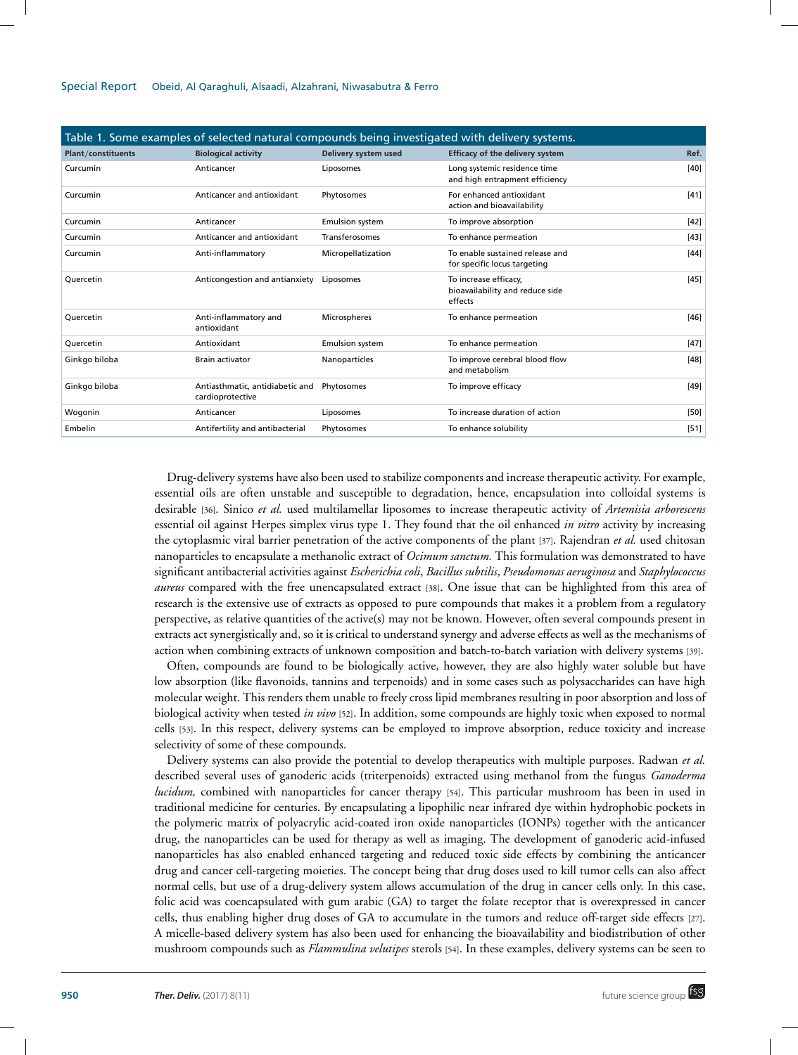# Special Report Obeid, Al Qaraghuli, Alsaadi, Alzahrani, Niwasabutra & Ferro

| Table 1. Some examples of selected natural compounds being investigated with delivery systems. |                                                     |                        |                                                                     |        |
|------------------------------------------------------------------------------------------------|-----------------------------------------------------|------------------------|---------------------------------------------------------------------|--------|
| <b>Plant/constituents</b>                                                                      | <b>Biological activity</b>                          | Delivery system used   | <b>Efficacy of the delivery system</b>                              | Ref.   |
| Curcumin                                                                                       | Anticancer                                          | Liposomes              | Long systemic residence time<br>and high entrapment efficiency      | [40]   |
| Curcumin                                                                                       | Anticancer and antioxidant                          | Phytosomes             | For enhanced antioxidant<br>action and bioavailability              | $[41]$ |
| Curcumin                                                                                       | Anticancer                                          | <b>Emulsion system</b> | To improve absorption                                               | $[42]$ |
| Curcumin                                                                                       | Anticancer and antioxidant                          | Transferosomes         | To enhance permeation                                               | $[43]$ |
| Curcumin                                                                                       | Anti-inflammatory                                   | Micropellatization     | To enable sustained release and<br>for specific locus targeting     | $[44]$ |
| Ouercetin                                                                                      | Anticongestion and antianxiety                      | Liposomes              | To increase efficacy,<br>bioavailability and reduce side<br>effects | $[45]$ |
| Ouercetin                                                                                      | Anti-inflammatory and<br>antioxidant                | Microspheres           | To enhance permeation                                               | $[46]$ |
| Ouercetin                                                                                      | Antioxidant                                         | <b>Emulsion system</b> | To enhance permeation                                               | $[47]$ |
| Ginkgo biloba                                                                                  | <b>Brain activator</b>                              | Nanoparticles          | To improve cerebral blood flow<br>and metabolism                    | $[48]$ |
| Ginkgo biloba                                                                                  | Antiasthmatic, antidiabetic and<br>cardioprotective | Phytosomes             | To improve efficacy                                                 | $[49]$ |
| Wogonin                                                                                        | Anticancer                                          | Liposomes              | To increase duration of action                                      | $[50]$ |
| Embelin                                                                                        | Antifertility and antibacterial                     | Phytosomes             | To enhance solubility                                               | $[51]$ |

Drug-delivery systems have also been used to stabilize components and increase therapeutic activity. For example, essential oils are often unstable and susceptible to degradation, hence, encapsulation into colloidal systems is desirable [36]. Sinico *et al.* used multilamellar liposomes to increase therapeutic activity of *Artemisia arborescens* essential oil against Herpes simplex virus type 1. They found that the oil enhanced *in vitro* activity by increasing the cytoplasmic viral barrier penetration of the active components of the plant [37]. Rajendran *et al.* used chitosan nanoparticles to encapsulate a methanolic extract of *Ocimum sanctum.* This formulation was demonstrated to have significant antibacterial activities against *Escherichia coli*, *Bacillus subtilis*, *Pseudomonas aeruginosa* and *Staphylococcus aureus* compared with the free unencapsulated extract [38]. One issue that can be highlighted from this area of research is the extensive use of extracts as opposed to pure compounds that makes it a problem from a regulatory perspective, as relative quantities of the active(s) may not be known. However, often several compounds present in extracts act synergistically and, so it is critical to understand synergy and adverse effects as well as the mechanisms of action when combining extracts of unknown composition and batch-to-batch variation with delivery systems [39].

Often, compounds are found to be biologically active, however, they are also highly water soluble but have low absorption (like flavonoids, tannins and terpenoids) and in some cases such as polysaccharides can have high molecular weight. This renders them unable to freely cross lipid membranes resulting in poor absorption and loss of biological activity when tested *in vivo* [52]. In addition, some compounds are highly toxic when exposed to normal cells [53]. In this respect, delivery systems can be employed to improve absorption, reduce toxicity and increase selectivity of some of these compounds.

Delivery systems can also provide the potential to develop therapeutics with multiple purposes. Radwan *et al.* described several uses of ganoderic acids (triterpenoids) extracted using methanol from the fungus *Ganoderma lucidum,* combined with nanoparticles for cancer therapy [54]. This particular mushroom has been in used in traditional medicine for centuries. By encapsulating a lipophilic near infrared dye within hydrophobic pockets in the polymeric matrix of polyacrylic acid-coated iron oxide nanoparticles (IONPs) together with the anticancer drug, the nanoparticles can be used for therapy as well as imaging. The development of ganoderic acid-infused nanoparticles has also enabled enhanced targeting and reduced toxic side effects by combining the anticancer drug and cancer cell-targeting moieties. The concept being that drug doses used to kill tumor cells can also affect normal cells, but use of a drug-delivery system allows accumulation of the drug in cancer cells only. In this case, folic acid was coencapsulated with gum arabic (GA) to target the folate receptor that is overexpressed in cancer cells, thus enabling higher drug doses of GA to accumulate in the tumors and reduce off-target side effects [27]. A micelle-based delivery system has also been used for enhancing the bioavailability and biodistribution of other mushroom compounds such as *Flammulina velutipes* sterols [54]. In these examples, delivery systems can be seen to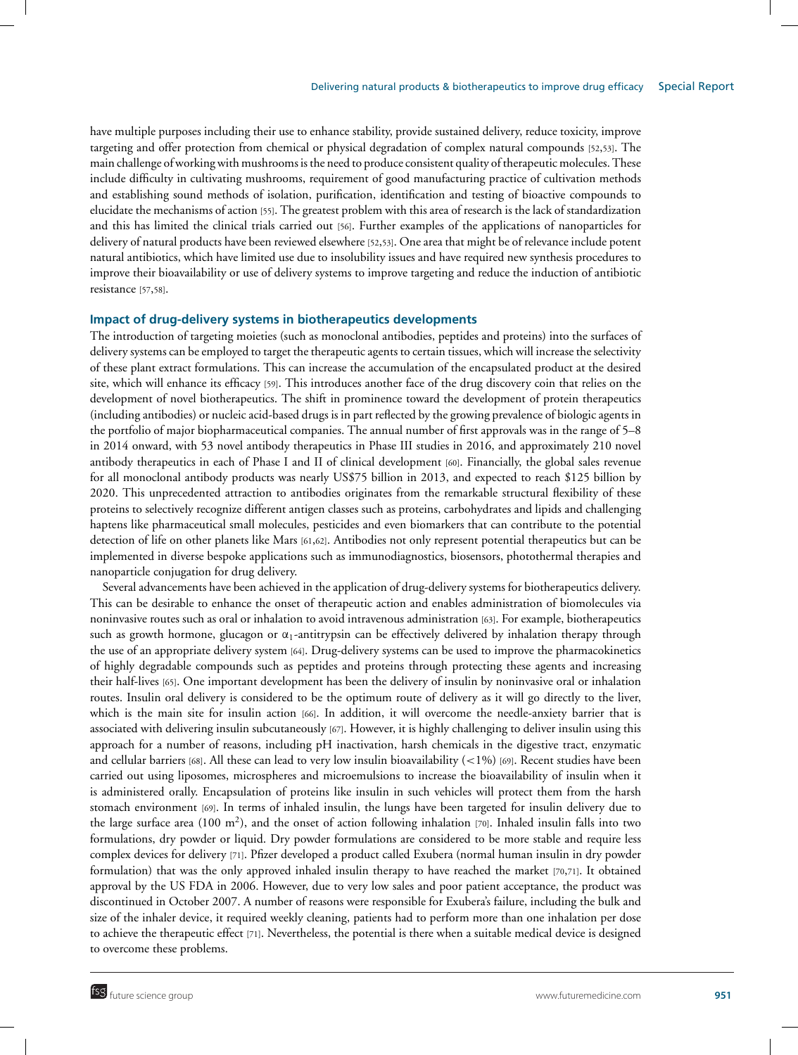have multiple purposes including their use to enhance stability, provide sustained delivery, reduce toxicity, improve targeting and offer protection from chemical or physical degradation of complex natural compounds [52,53]. The main challenge of working with mushrooms is the need to produce consistent quality of therapeutic molecules. These include difficulty in cultivating mushrooms, requirement of good manufacturing practice of cultivation methods and establishing sound methods of isolation, purification, identification and testing of bioactive compounds to elucidate the mechanisms of action [55]. The greatest problem with this area of research is the lack of standardization and this has limited the clinical trials carried out [56]. Further examples of the applications of nanoparticles for delivery of natural products have been reviewed elsewhere [52,53]. One area that might be of relevance include potent natural antibiotics, which have limited use due to insolubility issues and have required new synthesis procedures to improve their bioavailability or use of delivery systems to improve targeting and reduce the induction of antibiotic resistance [57,58].

# **Impact of drug-delivery systems in biotherapeutics developments**

The introduction of targeting moieties (such as monoclonal antibodies, peptides and proteins) into the surfaces of delivery systems can be employed to target the therapeutic agents to certain tissues, which will increase the selectivity of these plant extract formulations. This can increase the accumulation of the encapsulated product at the desired site, which will enhance its efficacy [59]. This introduces another face of the drug discovery coin that relies on the development of novel biotherapeutics. The shift in prominence toward the development of protein therapeutics (including antibodies) or nucleic acid-based drugs is in part reflected by the growing prevalence of biologic agents in the portfolio of major biopharmaceutical companies. The annual number of first approvals was in the range of 5–8 in 2014 onward, with 53 novel antibody therapeutics in Phase III studies in 2016, and approximately 210 novel antibody therapeutics in each of Phase I and II of clinical development [60]. Financially, the global sales revenue for all monoclonal antibody products was nearly US\$75 billion in 2013, and expected to reach \$125 billion by 2020. This unprecedented attraction to antibodies originates from the remarkable structural flexibility of these proteins to selectively recognize different antigen classes such as proteins, carbohydrates and lipids and challenging haptens like pharmaceutical small molecules, pesticides and even biomarkers that can contribute to the potential detection of life on other planets like Mars [61,62]. Antibodies not only represent potential therapeutics but can be implemented in diverse bespoke applications such as immunodiagnostics, biosensors, photothermal therapies and nanoparticle conjugation for drug delivery.

Several advancements have been achieved in the application of drug-delivery systems for biotherapeutics delivery. This can be desirable to enhance the onset of therapeutic action and enables administration of biomolecules via noninvasive routes such as oral or inhalation to avoid intravenous administration [63]. For example, biotherapeutics such as growth hormone, glucagon or  $\alpha_1$ -antitrypsin can be effectively delivered by inhalation therapy through the use of an appropriate delivery system [64]. Drug-delivery systems can be used to improve the pharmacokinetics of highly degradable compounds such as peptides and proteins through protecting these agents and increasing their half-lives [65]. One important development has been the delivery of insulin by noninvasive oral or inhalation routes. Insulin oral delivery is considered to be the optimum route of delivery as it will go directly to the liver, which is the main site for insulin action [66]. In addition, it will overcome the needle-anxiety barrier that is associated with delivering insulin subcutaneously [67]. However, it is highly challenging to deliver insulin using this approach for a number of reasons, including pH inactivation, harsh chemicals in the digestive tract, enzymatic and cellular barriers [68]. All these can lead to very low insulin bioavailability  $(<1\%)$  [69]. Recent studies have been carried out using liposomes, microspheres and microemulsions to increase the bioavailability of insulin when it is administered orally. Encapsulation of proteins like insulin in such vehicles will protect them from the harsh stomach environment [69]. In terms of inhaled insulin, the lungs have been targeted for insulin delivery due to the large surface area (100 m<sup>2</sup>), and the onset of action following inhalation [70]. Inhaled insulin falls into two formulations, dry powder or liquid. Dry powder formulations are considered to be more stable and require less complex devices for delivery [71]. Pfizer developed a product called Exubera (normal human insulin in dry powder formulation) that was the only approved inhaled insulin therapy to have reached the market [70,71]. It obtained approval by the US FDA in 2006. However, due to very low sales and poor patient acceptance, the product was discontinued in October 2007. A number of reasons were responsible for Exubera's failure, including the bulk and size of the inhaler device, it required weekly cleaning, patients had to perform more than one inhalation per dose to achieve the therapeutic effect [71]. Nevertheless, the potential is there when a suitable medical device is designed to overcome these problems.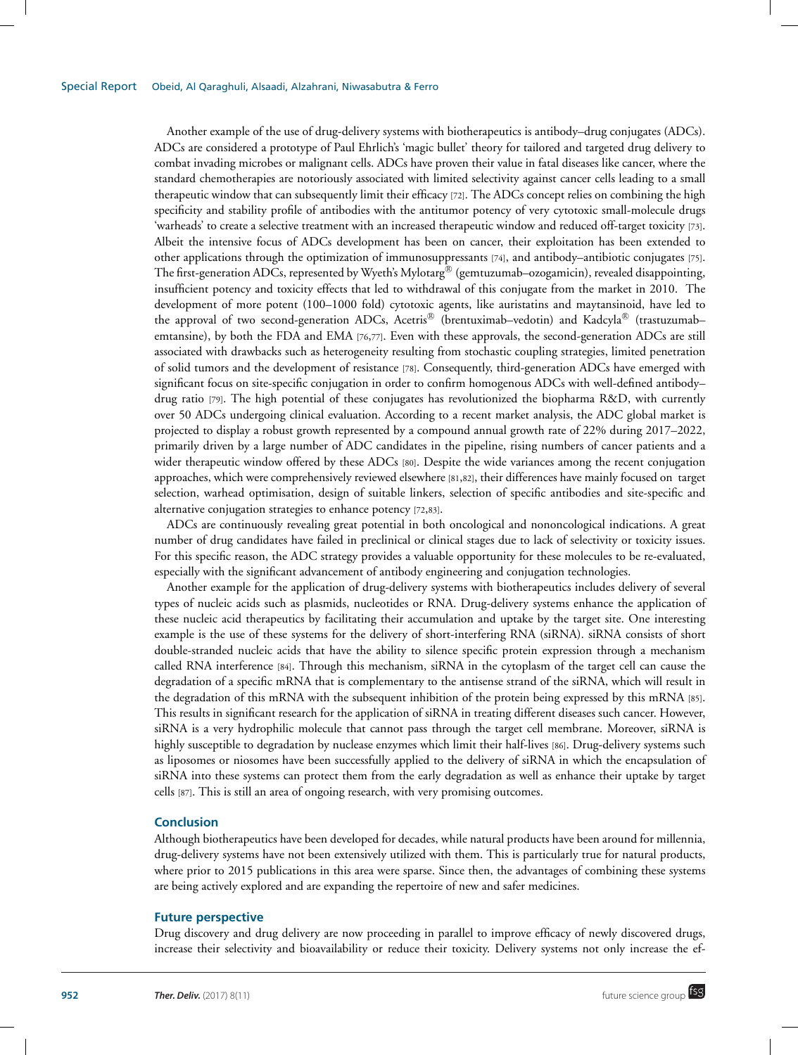Another example of the use of drug-delivery systems with biotherapeutics is antibody–drug conjugates (ADCs). ADCs are considered a prototype of Paul Ehrlich's 'magic bullet' theory for tailored and targeted drug delivery to combat invading microbes or malignant cells. ADCs have proven their value in fatal diseases like cancer, where the standard chemotherapies are notoriously associated with limited selectivity against cancer cells leading to a small therapeutic window that can subsequently limit their efficacy [72]. The ADCs concept relies on combining the high specificity and stability profile of antibodies with the antitumor potency of very cytotoxic small-molecule drugs 'warheads' to create a selective treatment with an increased therapeutic window and reduced off-target toxicity [73]. Albeit the intensive focus of ADCs development has been on cancer, their exploitation has been extended to other applications through the optimization of immunosuppressants [74], and antibody–antibiotic conjugates [75]. The first-generation ADCs, represented by Wyeth's Mylotarg $^\text{\tiny (\text{M}}$  (gemtuzumab–ozogamicin), revealed disappointing, insufficient potency and toxicity effects that led to withdrawal of this conjugate from the market in 2010. The development of more potent (100–1000 fold) cytotoxic agents, like auristatins and maytansinoid, have led to the approval of two second-generation ADCs, Acetris® (brentuximab–vedotin) and Kadcyla® (trastuzumab– emtansine), by both the FDA and EMA [76,77]. Even with these approvals, the second-generation ADCs are still associated with drawbacks such as heterogeneity resulting from stochastic coupling strategies, limited penetration of solid tumors and the development of resistance [78]. Consequently, third-generation ADCs have emerged with significant focus on site-specific conjugation in order to confirm homogenous ADCs with well-defined antibody– drug ratio [79]. The high potential of these conjugates has revolutionized the biopharma R&D, with currently over 50 ADCs undergoing clinical evaluation. According to a recent market analysis, the ADC global market is projected to display a robust growth represented by a compound annual growth rate of 22% during 2017–2022, primarily driven by a large number of ADC candidates in the pipeline, rising numbers of cancer patients and a wider therapeutic window offered by these ADCs [80]. Despite the wide variances among the recent conjugation approaches, which were comprehensively reviewed elsewhere [81,82], their differences have mainly focused on target selection, warhead optimisation, design of suitable linkers, selection of specific antibodies and site-specific and alternative conjugation strategies to enhance potency [72,83].

ADCs are continuously revealing great potential in both oncological and nononcological indications. A great number of drug candidates have failed in preclinical or clinical stages due to lack of selectivity or toxicity issues. For this specific reason, the ADC strategy provides a valuable opportunity for these molecules to be re-evaluated, especially with the significant advancement of antibody engineering and conjugation technologies.

Another example for the application of drug-delivery systems with biotherapeutics includes delivery of several types of nucleic acids such as plasmids, nucleotides or RNA. Drug-delivery systems enhance the application of these nucleic acid therapeutics by facilitating their accumulation and uptake by the target site. One interesting example is the use of these systems for the delivery of short-interfering RNA (siRNA). siRNA consists of short double-stranded nucleic acids that have the ability to silence specific protein expression through a mechanism called RNA interference [84]. Through this mechanism, siRNA in the cytoplasm of the target cell can cause the degradation of a specific mRNA that is complementary to the antisense strand of the siRNA, which will result in the degradation of this mRNA with the subsequent inhibition of the protein being expressed by this mRNA [85]. This results in significant research for the application of siRNA in treating different diseases such cancer. However, siRNA is a very hydrophilic molecule that cannot pass through the target cell membrane. Moreover, siRNA is highly susceptible to degradation by nuclease enzymes which limit their half-lives [86]. Drug-delivery systems such as liposomes or niosomes have been successfully applied to the delivery of siRNA in which the encapsulation of siRNA into these systems can protect them from the early degradation as well as enhance their uptake by target cells [87]. This is still an area of ongoing research, with very promising outcomes.

# **Conclusion**

Although biotherapeutics have been developed for decades, while natural products have been around for millennia, drug-delivery systems have not been extensively utilized with them. This is particularly true for natural products, where prior to 2015 publications in this area were sparse. Since then, the advantages of combining these systems are being actively explored and are expanding the repertoire of new and safer medicines.

# **Future perspective**

Drug discovery and drug delivery are now proceeding in parallel to improve efficacy of newly discovered drugs, increase their selectivity and bioavailability or reduce their toxicity. Delivery systems not only increase the ef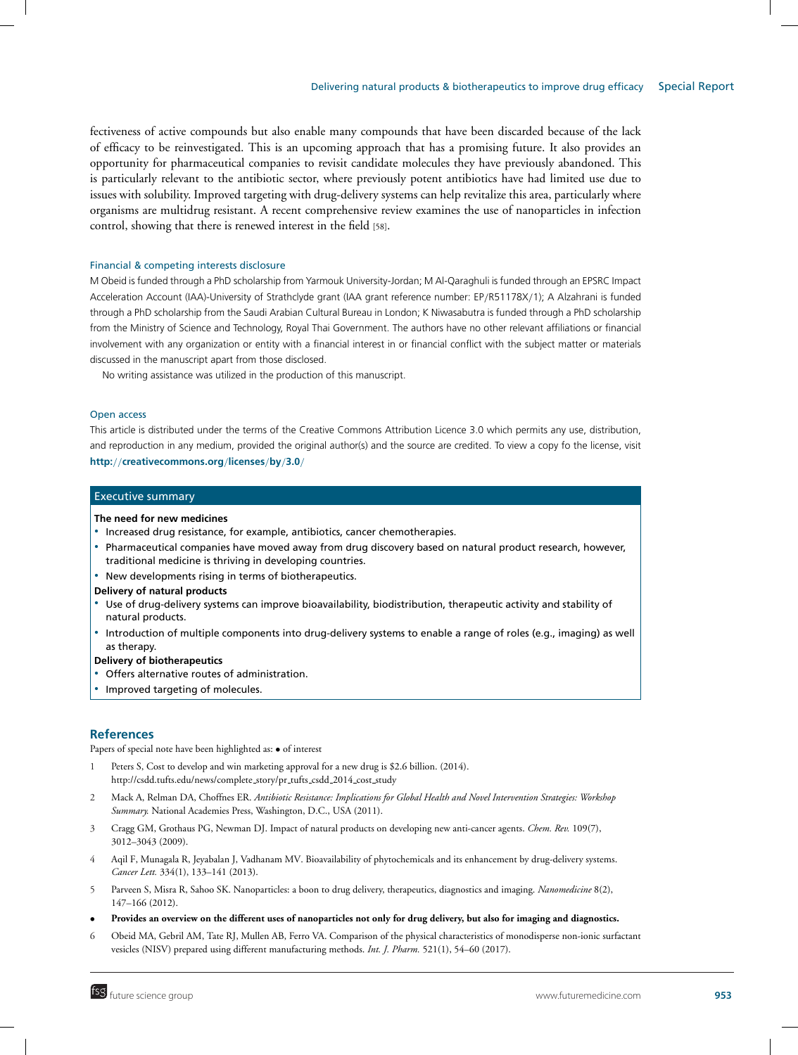fectiveness of active compounds but also enable many compounds that have been discarded because of the lack of efficacy to be reinvestigated. This is an upcoming approach that has a promising future. It also provides an opportunity for pharmaceutical companies to revisit candidate molecules they have previously abandoned. This is particularly relevant to the antibiotic sector, where previously potent antibiotics have had limited use due to issues with solubility. Improved targeting with drug-delivery systems can help revitalize this area, particularly where organisms are multidrug resistant. A recent comprehensive review examines the use of nanoparticles in infection control, showing that there is renewed interest in the field [58].

#### Financial & competing interests disclosure

M Obeid is funded through a PhD scholarship from Yarmouk University-Jordan; M Al-Qaraghuli is funded through an EPSRC Impact Acceleration Account (IAA)-University of Strathclyde grant (IAA grant reference number: EP/R51178X/1); A Alzahrani is funded through a PhD scholarship from the Saudi Arabian Cultural Bureau in London; K Niwasabutra is funded through a PhD scholarship from the Ministry of Science and Technology, Royal Thai Government. The authors have no other relevant affiliations or financial involvement with any organization or entity with a financial interest in or financial conflict with the subject matter or materials discussed in the manuscript apart from those disclosed.

No writing assistance was utilized in the production of this manuscript.

# Open access

This article is distributed under the terms of the Creative Commons Attribution Licence 3.0 which permits any use, distribution, and reproduction in any medium, provided the original author(s) and the source are credited. To view a copy fo the license, visit **http:**//**creativecommons.org**/**licenses**/**by**/**3.0**/

# Executive summary

## **The need for new medicines**

- Increased drug resistance, for example, antibiotics, cancer chemotherapies.
- Pharmaceutical companies have moved away from drug discovery based on natural product research, however, traditional medicine is thriving in developing countries.
- -New developments rising in terms of biotherapeutics.
- **Delivery of natural products**
- Use of drug-delivery systems can improve bioavailability, biodistribution, therapeutic activity and stability of natural products.
- - Introduction of multiple components into drug-delivery systems to enable a range of roles (e.g., imaging) as well as therapy.
- **Delivery of biotherapeutics**
- -Offers alternative routes of administration.
- -Improved targeting of molecules.

# **References**

Papers of special note have been highlighted as: • of interest

- 1 Peters S, Cost to develop and win marketing approval for a new drug is \$2.6 billion. (2014). http://csdd.tufts.edu/news/complete\_story/pr\_tufts\_csdd\_2014\_cost\_study
- 2 Mack A, Relman DA, Choffnes ER. *Antibiotic Resistance: Implications for Global Health and Novel Intervention Strategies: Workshop Summary.* National Academies Press, Washington, D.C., USA (2011).
- 3 Cragg GM, Grothaus PG, Newman DJ. Impact of natural products on developing new anti-cancer agents. *Chem. Rev.* 109(7), 3012–3043 (2009).
- 4 Aqil F, Munagala R, Jeyabalan J, Vadhanam MV. Bioavailability of phytochemicals and its enhancement by drug-delivery systems. *Cancer Lett.* 334(1), 133–141 (2013).
- 5 Parveen S, Misra R, Sahoo SK. Nanoparticles: a boon to drug delivery, therapeutics, diagnostics and imaging. *Nanomedicine* 8(2), 147–166 (2012).
- **Provides an overview on the different uses of nanoparticles not only for drug delivery, but also for imaging and diagnostics.**
- 6 Obeid MA, Gebril AM, Tate RJ, Mullen AB, Ferro VA. Comparison of the physical characteristics of monodisperse non-ionic surfactant vesicles (NISV) prepared using different manufacturing methods. *Int. J. Pharm.* 521(1), 54–60 (2017).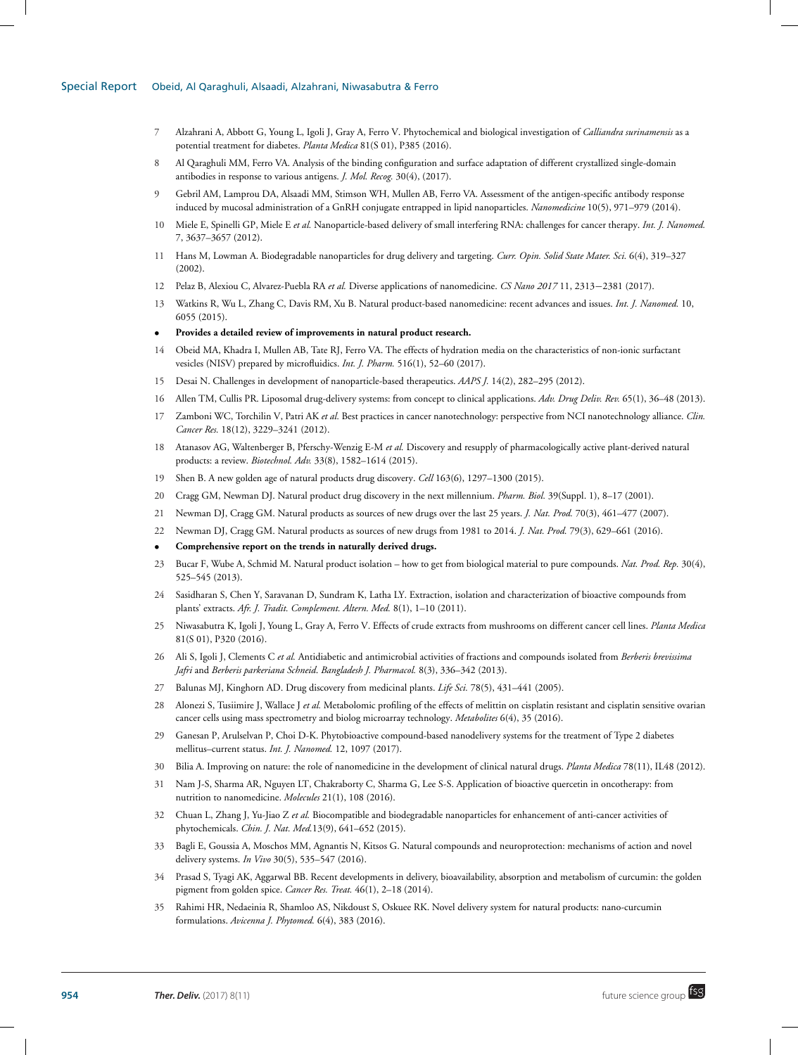- 7 Alzahrani A, Abbott G, Young L, Igoli J, Gray A, Ferro V. Phytochemical and biological investigation of *Calliandra surinamensis* as a potential treatment for diabetes. *Planta Medica* 81(S 01), P385 (2016).
- 8 Al Qaraghuli MM, Ferro VA. Analysis of the binding configuration and surface adaptation of different crystallized single-domain antibodies in response to various antigens. *J. Mol. Recog.* 30(4), (2017).
- 9 Gebril AM, Lamprou DA, Alsaadi MM, Stimson WH, Mullen AB, Ferro VA. Assessment of the antigen-specific antibody response induced by mucosal administration of a GnRH conjugate entrapped in lipid nanoparticles. *Nanomedicine* 10(5), 971–979 (2014).
- 10 Miele E, Spinelli GP, Miele E *et al.* Nanoparticle-based delivery of small interfering RNA: challenges for cancer therapy. *Int. J. Nanomed.* 7, 3637–3657 (2012).
- 11 Hans M, Lowman A. Biodegradable nanoparticles for drug delivery and targeting. *Curr. Opin. Solid State Mater. Sci.* 6(4), 319–327 (2002).
- 12 Pelaz B, Alexiou C, Alvarez-Puebla RA *et al.* Diverse applications of nanomedicine. *CS Nano 2017* 11, 2313−2381 (2017).
- 13 Watkins R, Wu L, Zhang C, Davis RM, Xu B. Natural product-based nanomedicine: recent advances and issues. *Int. J. Nanomed.* 10, 6055 (2015).
- **Provides a detailed review of improvements in natural product research.**
- 14 Obeid MA, Khadra I, Mullen AB, Tate RJ, Ferro VA. The effects of hydration media on the characteristics of non-ionic surfactant vesicles (NISV) prepared by microfluidics. *Int. J. Pharm.* 516(1), 52–60 (2017).
- 15 Desai N. Challenges in development of nanoparticle-based therapeutics. *AAPS J.* 14(2), 282–295 (2012).
- 16 Allen TM, Cullis PR. Liposomal drug-delivery systems: from concept to clinical applications. *Adv. Drug Deliv. Rev.* 65(1), 36–48 (2013).
- 17 Zamboni WC, Torchilin V, Patri AK *et al.* Best practices in cancer nanotechnology: perspective from NCI nanotechnology alliance. *Clin. Cancer Res.* 18(12), 3229–3241 (2012).
- 18 Atanasov AG, Waltenberger B, Pferschy-Wenzig E-M *et al.* Discovery and resupply of pharmacologically active plant-derived natural products: a review. *Biotechnol. Adv.* 33(8), 1582–1614 (2015).
- 19 Shen B. A new golden age of natural products drug discovery. *Cell* 163(6), 1297–1300 (2015).
- 20 Cragg GM, Newman DJ. Natural product drug discovery in the next millennium. *Pharm. Biol.* 39(Suppl. 1), 8–17 (2001).
- 21 Newman DJ, Cragg GM. Natural products as sources of new drugs over the last 25 years. *J. Nat. Prod.* 70(3), 461–477 (2007).
- 22 Newman DJ, Cragg GM. Natural products as sources of new drugs from 1981 to 2014. *J. Nat. Prod.* 79(3), 629–661 (2016).
- **Comprehensive report on the trends in naturally derived drugs.**
- 23 Bucar F, Wube A, Schmid M. Natural product isolation how to get from biological material to pure compounds. *Nat. Prod. Rep.* 30(4), 525–545 (2013).
- 24 Sasidharan S, Chen Y, Saravanan D, Sundram K, Latha LY. Extraction, isolation and characterization of bioactive compounds from plants' extracts. *Afr. J. Tradit. Complement. Altern. Med.* 8(1), 1–10 (2011).
- 25 Niwasabutra K, Igoli J, Young L, Gray A, Ferro V. Effects of crude extracts from mushrooms on different cancer cell lines. *Planta Medica* 81(S 01), P320 (2016).
- 26 Ali S, Igoli J, Clements C *et al.* Antidiabetic and antimicrobial activities of fractions and compounds isolated from *Berberis brevissima Jafri* and *Berberis parkeriana Schneid*. *Bangladesh J. Pharmacol.* 8(3), 336–342 (2013).
- 27 Balunas MJ, Kinghorn AD. Drug discovery from medicinal plants. *Life Sci.* 78(5), 431–441 (2005).
- 28 Alonezi S, Tusiimire J, Wallace J *et al.* Metabolomic profiling of the effects of melittin on cisplatin resistant and cisplatin sensitive ovarian cancer cells using mass spectrometry and biolog microarray technology. *Metabolites* 6(4), 35 (2016).
- 29 Ganesan P, Arulselvan P, Choi D-K. Phytobioactive compound-based nanodelivery systems for the treatment of Type 2 diabetes mellitus–current status. *Int. J. Nanomed.* 12, 1097 (2017).
- 30 Bilia A. Improving on nature: the role of nanomedicine in the development of clinical natural drugs. *Planta Medica* 78(11), IL48 (2012).
- 31 Nam J-S, Sharma AR, Nguyen LT, Chakraborty C, Sharma G, Lee S-S. Application of bioactive quercetin in oncotherapy: from nutrition to nanomedicine. *Molecules* 21(1), 108 (2016).
- 32 Chuan L, Zhang J, Yu-Jiao Z *et al.* Biocompatible and biodegradable nanoparticles for enhancement of anti-cancer activities of phytochemicals. *Chin. J. Nat. Med.*13(9), 641–652 (2015).
- 33 Bagli E, Goussia A, Moschos MM, Agnantis N, Kitsos G. Natural compounds and neuroprotection: mechanisms of action and novel delivery systems. *In Vivo* 30(5), 535–547 (2016).
- 34 Prasad S, Tyagi AK, Aggarwal BB. Recent developments in delivery, bioavailability, absorption and metabolism of curcumin: the golden pigment from golden spice. *Cancer Res. Treat.* 46(1), 2–18 (2014).
- 35 Rahimi HR, Nedaeinia R, Shamloo AS, Nikdoust S, Oskuee RK. Novel delivery system for natural products: nano-curcumin formulations. *Avicenna J. Phytomed.* 6(4), 383 (2016).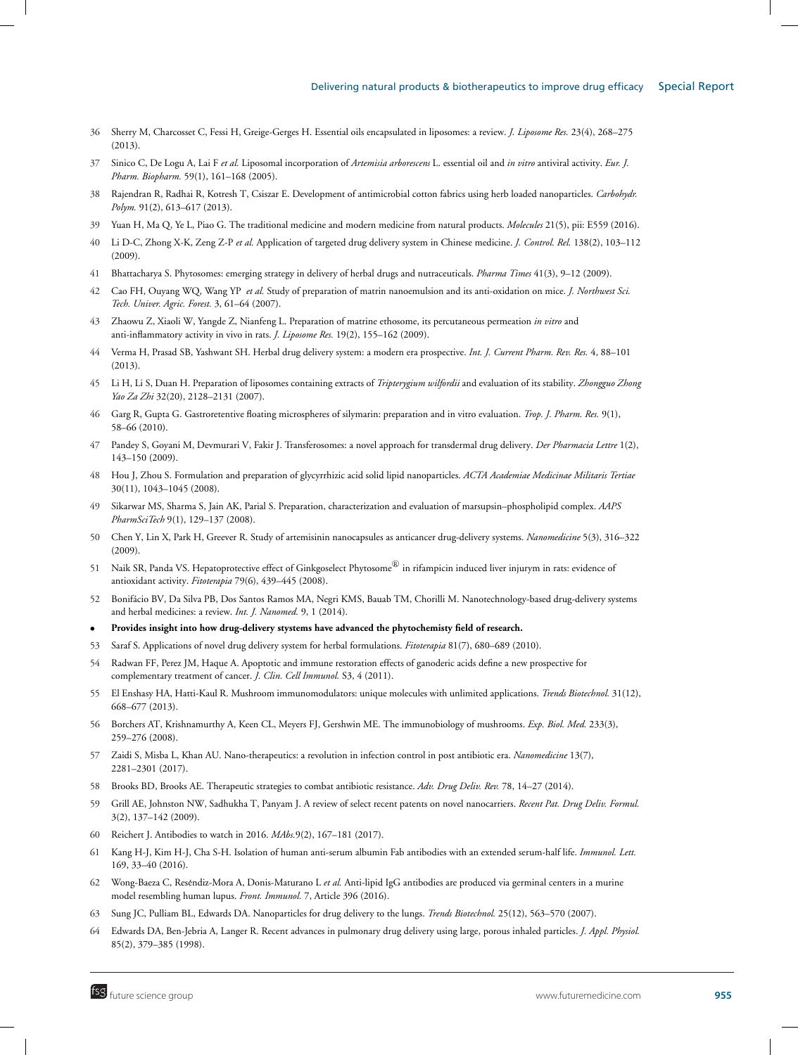- 36 Sherry M, Charcosset C, Fessi H, Greige-Gerges H. Essential oils encapsulated in liposomes: a review. *J. Liposome Res.* 23(4), 268–275 (2013).
- 37 Sinico C, De Logu A, Lai F *et al.* Liposomal incorporation of *Artemisia arborescens* L. essential oil and *in vitro* antiviral activity. *Eur. J. Pharm. Biopharm.* 59(1), 161–168 (2005).
- 38 Rajendran R, Radhai R, Kotresh T, Csiszar E. Development of antimicrobial cotton fabrics using herb loaded nanoparticles. *Carbohydr. Polym.* 91(2), 613–617 (2013).
- 39 Yuan H, Ma Q, Ye L, Piao G. The traditional medicine and modern medicine from natural products. *Molecules* 21(5), pii: E559 (2016).
- 40 Li D-C, Zhong X-K, Zeng Z-P *et al.* Application of targeted drug delivery system in Chinese medicine. *J. Control. Rel.* 138(2), 103–112 (2009).
- 41 Bhattacharya S. Phytosomes: emerging strategy in delivery of herbal drugs and nutraceuticals. *Pharma Times* 41(3), 9–12 (2009).
- 42 Cao FH, Ouyang WQ, Wang YP *et al.* Study of preparation of matrin nanoemulsion and its anti-oxidation on mice. *J. Northwest Sci. Tech. Univer. Agric. Forest.* 3, 61–64 (2007).
- 43 Zhaowu Z, Xiaoli W, Yangde Z, Nianfeng L. Preparation of matrine ethosome, its percutaneous permeation *in vitro* and anti-inflammatory activity in vivo in rats. *J. Liposome Res.* 19(2), 155–162 (2009).
- 44 Verma H, Prasad SB, Yashwant SH. Herbal drug delivery system: a modern era prospective. *Int. J. Current Pharm. Rev. Res.* 4, 88–101 (2013).
- 45 Li H, Li S, Duan H. Preparation of liposomes containing extracts of *Tripterygium wilfordii* and evaluation of its stability. *Zhongguo Zhong Yao Za Zhi* 32(20), 2128–2131 (2007).
- 46 Garg R, Gupta G. Gastroretentive floating microspheres of silymarin: preparation and in vitro evaluation. *Trop. J. Pharm. Res.* 9(1), 58–66 (2010).
- 47 Pandey S, Goyani M, Devmurari V, Fakir J. Transferosomes: a novel approach for transdermal drug delivery. *Der Pharmacia Lettre* 1(2), 143–150 (2009).
- 48 Hou J, Zhou S. Formulation and preparation of glycyrrhizic acid solid lipid nanoparticles. *ACTA Academiae Medicinae Militaris Tertiae* 30(11), 1043–1045 (2008).
- 49 Sikarwar MS, Sharma S, Jain AK, Parial S. Preparation, characterization and evaluation of marsupsin–phospholipid complex. *AAPS PharmSciTech* 9(1), 129–137 (2008).
- 50 Chen Y, Lin X, Park H, Greever R. Study of artemisinin nanocapsules as anticancer drug-delivery systems. *Nanomedicine* 5(3), 316–322 (2009).
- 51 Naik SR, Panda VS. Hepatoprotective effect of Ginkgoselect Phytosome<sup>®</sup> in rifampicin induced liver injurym in rats: evidence of antioxidant activity. *Fitoterapia* 79(6), 439–445 (2008).
- 52 Bonifacio BV, Da Silva PB, Dos Santos Ramos MA, Negri KMS, Bauab TM, Chorilli M. Nanotechnology-based drug-delivery systems ´ and herbal medicines: a review. *Int. J. Nanomed.* 9, 1 (2014).
- **Provides insight into how drug-delivery stystems have advanced the phytochemisty field of research.**
- 53 Saraf S. Applications of novel drug delivery system for herbal formulations. *Fitoterapia* 81(7), 680–689 (2010).
- 54 Radwan FF, Perez JM, Haque A. Apoptotic and immune restoration effects of ganoderic acids define a new prospective for complementary treatment of cancer. *J. Clin. Cell Immunol.* S3, 4 (2011).
- 55 El Enshasy HA, Hatti-Kaul R. Mushroom immunomodulators: unique molecules with unlimited applications. *Trends Biotechnol.* 31(12), 668–677 (2013).
- 56 Borchers AT, Krishnamurthy A, Keen CL, Meyers FJ, Gershwin ME. The immunobiology of mushrooms. *Exp. Biol. Med.* 233(3), 259–276 (2008).
- 57 Zaidi S, Misba L, Khan AU. Nano-therapeutics: a revolution in infection control in post antibiotic era. *Nanomedicine* 13(7), 2281–2301 (2017).
- 58 Brooks BD, Brooks AE. Therapeutic strategies to combat antibiotic resistance. *Adv. Drug Deliv. Rev.* 78, 14–27 (2014).
- 59 Grill AE, Johnston NW, Sadhukha T, Panyam J. A review of select recent patents on novel nanocarriers. *Recent Pat. Drug Deliv. Formul.* 3(2), 137–142 (2009).
- 60 Reichert J. Antibodies to watch in 2016. *MAbs.*9(2), 167–181 (2017).
- 61 Kang H-J, Kim H-J, Cha S-H. Isolation of human anti-serum albumin Fab antibodies with an extended serum-half life. *Immunol. Lett.* 169, 33–40 (2016).
- 62 Wong-Baeza C, Reséndiz-Mora A, Donis-Maturano L et al. Anti-lipid IgG antibodies are produced via germinal centers in a murine model resembling human lupus. *Front. Immunol.* 7, Article 396 (2016).
- 63 Sung JC, Pulliam BL, Edwards DA. Nanoparticles for drug delivery to the lungs. *Trends Biotechnol.* 25(12), 563–570 (2007).
- 64 Edwards DA, Ben-Jebria A, Langer R. Recent advances in pulmonary drug delivery using large, porous inhaled particles. *J. Appl. Physiol.* 85(2), 379–385 (1998).